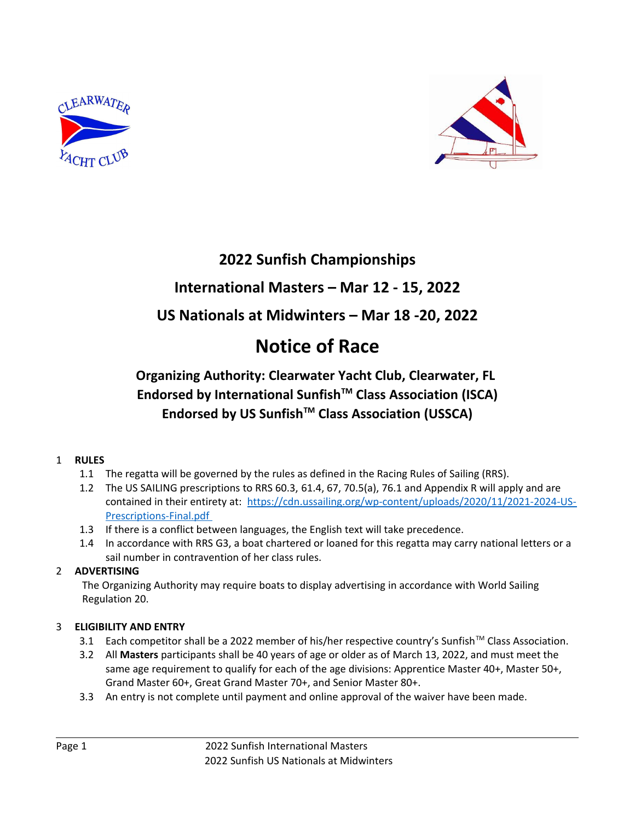



# **2022 Sunfish Championships**

## **International Masters – Mar 12 - 15, 2022**

# **US Nationals at Midwinters – Mar 18 -20, 2022**

# **Notice of Race**

## **Organizing Authority: Clearwater Yacht Club, Clearwater, FL Endorsed by International SunfishTM Class Association (ISCA) Endorsed by US SunfishTM Class Association (USSCA)**

### 1 **RULES**

- 1.1 The regatta will be governed by the rules as defined in the Racing Rules of Sailing (RRS).
- 1.2 The US SAILING prescriptions to RRS 60.3, 61.4, 67, 70.5(a), 76.1 and Appendix R will apply and are contained in their entirety at: [https://cdn.ussailing.org/wp-content/uploads/2020/11/2021-2024-US-](https://cdn.ussailing.org/wp-content/uploads/2020/11/2021-2024-US-Prescriptions-Final.pdf)  [Prescriptions-Final.pdf](https://cdn.ussailing.org/wp-content/uploads/2020/11/2021-2024-US-Prescriptions-Final.pdf)
- 1.3 If there is a conflict between languages, the English text will take precedence.
- 1.4 In accordance with RRS G3, a boat chartered or loaned for this regatta may carry national letters or a sail number in contravention of her class rules.

## 2 **ADVERTISING**

The Organizing Authority may require boats to display advertising in accordance with World Sailing Regulation 20.

## 3 **ELIGIBILITY AND ENTRY**

- 3.1 Each competitor shall be a 2022 member of his/her respective country's Sunfish™ Class Association.
- 3.2 All **Masters** participants shall be 40 years of age or older as of March 13, 2022, and must meet the same age requirement to qualify for each of the age divisions: Apprentice Master 40+, Master 50+, Grand Master 60+, Great Grand Master 70+, and Senior Master 80+.
- 3.3 An entry is not complete until payment and online approval of the waiver have been made.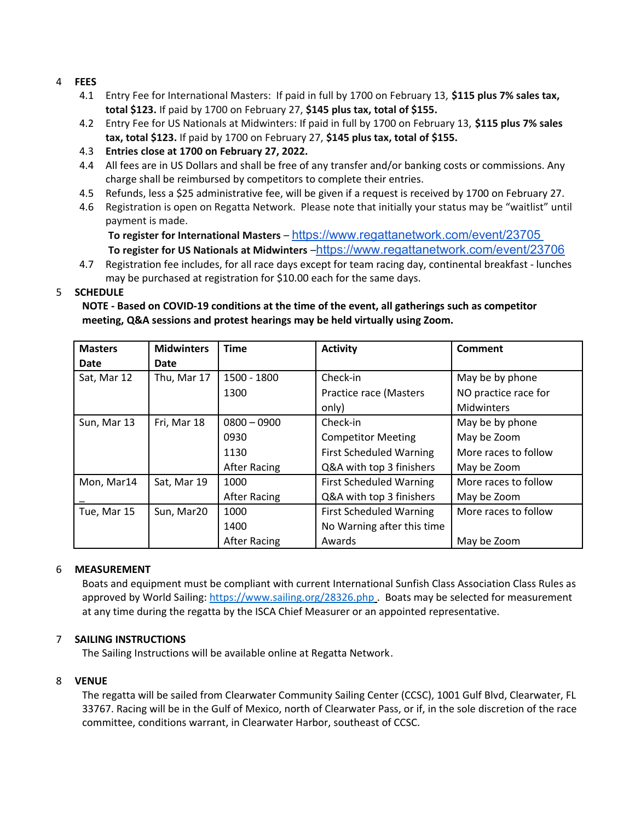#### 4 **FEES**

- 4.1 Entry Fee for International Masters: If paid in full by 1700 on February 13, **\$115 plus 7% sales tax, total \$123.** If paid by 1700 on February 27, **\$145 plus tax, total of \$155.**
- 4.2 Entry Fee for US Nationals at Midwinters: If paid in full by 1700 on February 13, **\$115 plus 7% sales tax, total \$123.** If paid by 1700 on February 27, **\$145 plus tax, total of \$155.**
- 4.3 **Entries close at 1700 on February 27, 2022.**
- 4.4 All fees are in US Dollars and shall be free of any transfer and/or banking costs or commissions. Any charge shall be reimbursed by competitors to complete their entries.
- 4.5 Refunds, less a \$25 administrative fee, will be given if a request is received by 1700 on February 27.
- 4.6 Registration is open on Regatta Network. Please note that initially your status may be "waitlist" until payment is made.

**To register for International Masters** – <https://www.regattanetwork.com/event/23705> To register for US Nationals at Midwinters –<https://www.regattanetwork.com/event/23706>

4.7 Registration fee includes, for all race days except for team racing day, continental breakfast - lunches may be purchased at registration for \$10.00 each for the same days.

#### 5 **SCHEDULE**

**NOTE - Based on COVID-19 conditions at the time of the event, all gatherings such as competitor meeting, Q&A sessions and protest hearings may be held virtually using Zoom.** 

| <b>Masters</b> | <b>Midwinters</b> | <b>Time</b>         | <b>Activity</b>                | <b>Comment</b>       |
|----------------|-------------------|---------------------|--------------------------------|----------------------|
| Date           | Date              |                     |                                |                      |
| Sat, Mar 12    | Thu, Mar 17       | 1500 - 1800         | Check-in                       | May be by phone      |
|                |                   | 1300                | Practice race (Masters         | NO practice race for |
|                |                   |                     | only)                          | Midwinters           |
| Sun, Mar 13    | Fri, Mar 18       | $0800 - 0900$       | Check-in                       | May be by phone      |
|                |                   | 0930                | <b>Competitor Meeting</b>      | May be Zoom          |
|                |                   | 1130                | <b>First Scheduled Warning</b> | More races to follow |
|                |                   | After Racing        | Q&A with top 3 finishers       | May be Zoom          |
| Mon, Mar14     | Sat, Mar 19       | 1000                | <b>First Scheduled Warning</b> | More races to follow |
|                |                   | <b>After Racing</b> | Q&A with top 3 finishers       | May be Zoom          |
| Tue, Mar 15    | Sun, Mar20        | 1000                | <b>First Scheduled Warning</b> | More races to follow |
|                |                   | 1400                | No Warning after this time     |                      |
|                |                   | After Racing        | Awards                         | May be Zoom          |

#### 6 **MEASUREMENT**

Boats and equipment must be compliant with current International Sunfish Class Association Class Rules as approved by World Sailing:<https://www.sailing.org/28326.php> . Boats may be selected for measurement at any time during the regatta by the ISCA Chief Measurer or an appointed representative.

#### 7 **SAILING INSTRUCTIONS**

The Sailing Instructions will be available online at Regatta Network.

#### 8 **VENUE**

The regatta will be sailed from Clearwater Community Sailing Center (CCSC), 1001 Gulf Blvd, Clearwater, FL 33767. Racing will be in the Gulf of Mexico, north of Clearwater Pass, or if, in the sole discretion of the race committee, conditions warrant, in Clearwater Harbor, southeast of CCSC.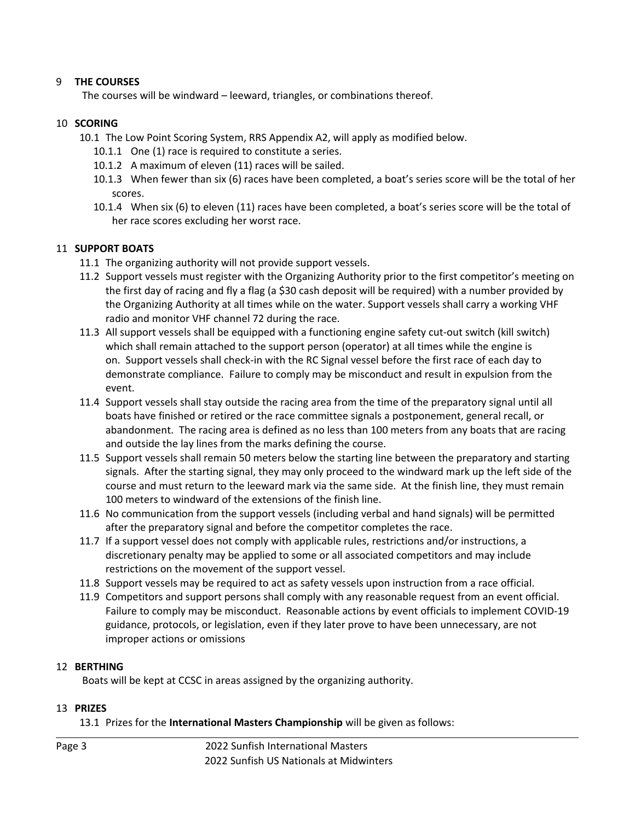#### 9 **THE COURSES**

The courses will be windward – leeward, triangles, or combinations thereof.

#### 10 **SCORING**

- 10.1 The Low Point Scoring System, RRS Appendix A2, will apply as modified below.
	- 10.1.1 One (1) race is required to constitute a series.
	- 10.1.2 A maximum of eleven (11) races will be sailed.
	- 10.1.3 When fewer than six (6) races have been completed, a boat's series score will be the total of her scores.
	- 10.1.4 When six (6) to eleven (11) races have been completed, a boat's series score will be the total of her race scores excluding her worst race.

#### 11 **SUPPORT BOATS**

- 11.1 The organizing authority will not provide support vessels.
- 11.2 Support vessels must register with the Organizing Authority prior to the first competitor's meeting on the first day of racing and fly a flag (a \$30 cash deposit will be required) with a number provided by the Organizing Authority at all times while on the water. Support vessels shall carry a working VHF radio and monitor VHF channel 72 during the race.
- 11.3 All support vessels shall be equipped with a functioning engine safety cut-out switch (kill switch) which shall remain attached to the support person (operator) at all times while the engine is on. Support vessels shall check-in with the RC Signal vessel before the first race of each day to demonstrate compliance. Failure to comply may be misconduct and result in expulsion from the event.
- 11.4 Support vessels shall stay outside the racing area from the time of the preparatory signal until all boats have finished or retired or the race committee signals a postponement, general recall, or abandonment. The racing area is defined as no less than 100 meters from any boats that are racing and outside the lay lines from the marks defining the course.
- 11.5 Support vessels shall remain 50 meters below the starting line between the preparatory and starting signals. After the starting signal, they may only proceed to the windward mark up the left side of the course and must return to the leeward mark via the same side. At the finish line, they must remain 100 meters to windward of the extensions of the finish line.
- 11.6 No communication from the support vessels (including verbal and hand signals) will be permitted after the preparatory signal and before the competitor completes the race.
- 11.7 If a support vessel does not comply with applicable rules, restrictions and/or instructions, a discretionary penalty may be applied to some or all associated competitors and may include restrictions on the movement of the support vessel.
- 11.8 Support vessels may be required to act as safety vessels upon instruction from a race official.
- 11.9 Competitors and support persons shall comply with any reasonable request from an event official. Failure to comply may be misconduct. Reasonable actions by event officials to implement COVID-19 guidance, protocols, or legislation, even if they later prove to have been unnecessary, are not improper actions or omissions

#### 12 **BERTHING**

Boats will be kept at CCSC in areas assigned by the organizing authority.

#### 13 **PRIZES**

13.1 Prizes for the **International Masters Championship** will be given as follows: